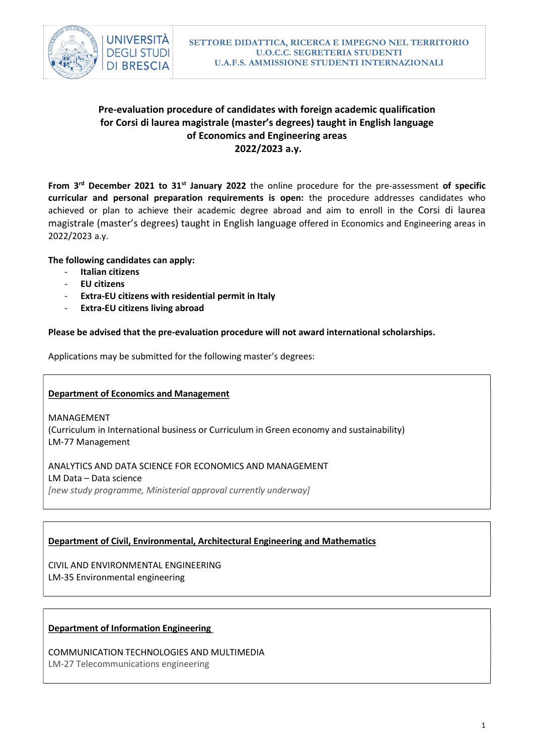

# Pre-evaluation procedure of candidates with foreign academic qualification for Corsi di laurea magistrale (master's degrees) taught in English language of Economics and Engineering areas 2022/2023 a.y.

From  $3<sup>rd</sup>$  December 2021 to 31<sup>st</sup> January 2022 the online procedure for the pre-assessment of specific curricular and personal preparation requirements is open: the procedure addresses candidates who achieved or plan to achieve their academic degree abroad and aim to enroll in the Corsi di laurea magistrale (master's degrees) taught in English language offered in Economics and Engineering areas in 2022/2023 a.y.

### The following candidates can apply:

- Italian citizens
- EU citizens
- Extra-EU citizens with residential permit in Italy
- Extra-EU citizens living abroad

### Please be advised that the pre-evaluation procedure will not award international scholarships.

Applications may be submitted for the following master's degrees:

### Department of Economics and Management

MANAGEMENT (Curriculum in International business or Curriculum in Green economy and sustainability) LM-77 Management

ANALYTICS AND DATA SCIENCE FOR ECONOMICS AND MANAGEMENT LM Data – Data science [new study programme, Ministerial approval currently underway]

# Department of Civil, Environmental, Architectural Engineering and Mathematics

CIVIL AND ENVIRONMENTAL ENGINEERING LM-35 Environmental engineering

### Department of Information Engineering

COMMUNICATION TECHNOLOGIES AND MULTIMEDIA LM-27 Telecommunications engineering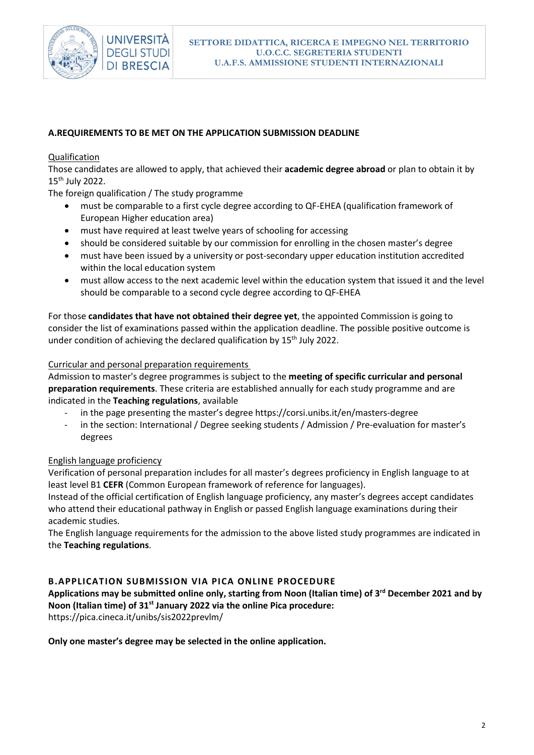

# A.REQUIREMENTS TO BE MET ON THE APPLICATION SUBMISSION DEADLINE

### Qualification

Those candidates are allowed to apply, that achieved their academic degree abroad or plan to obtain it by 15th July 2022.

The foreign qualification / The study programme

- must be comparable to a first cycle degree according to QF-EHEA (qualification framework of European Higher education area)
- must have required at least twelve years of schooling for accessing
- should be considered suitable by our commission for enrolling in the chosen master's degree
- must have been issued by a university or post-secondary upper education institution accredited within the local education system
- must allow access to the next academic level within the education system that issued it and the level should be comparable to a second cycle degree according to QF-EHEA

For those candidates that have not obtained their degree yet, the appointed Commission is going to consider the list of examinations passed within the application deadline. The possible positive outcome is under condition of achieving the declared qualification by 15<sup>th</sup> July 2022.

### Curricular and personal preparation requirements

Admission to master's degree programmes is subject to the meeting of specific curricular and personal preparation requirements. These criteria are established annually for each study programme and are indicated in the Teaching regulations, available

- in the page presenting the master's degree https://corsi.unibs.it/en/masters-degree
- in the section: International / Degree seeking students / Admission / Pre-evaluation for master's degrees

# English language proficiency

Verification of personal preparation includes for all master's degrees proficiency in English language to at least level B1 CEFR (Common European framework of reference for languages).

Instead of the official certification of English language proficiency, any master's degrees accept candidates who attend their educational pathway in English or passed English language examinations during their academic studies.

The English language requirements for the admission to the above listed study programmes are indicated in the Teaching regulations.

# B.APPLICATION SUBMISSION VIA PICA ONLINE PROCEDURE

Applications may be submitted online only, starting from Noon (Italian time) of 3<sup>rd</sup> December 2021 and by Noon (Italian time) of 31<sup>st</sup> January 2022 via the online Pica procedure:

https://pica.cineca.it/unibs/sis2022prevlm/

Only one master's degree may be selected in the online application.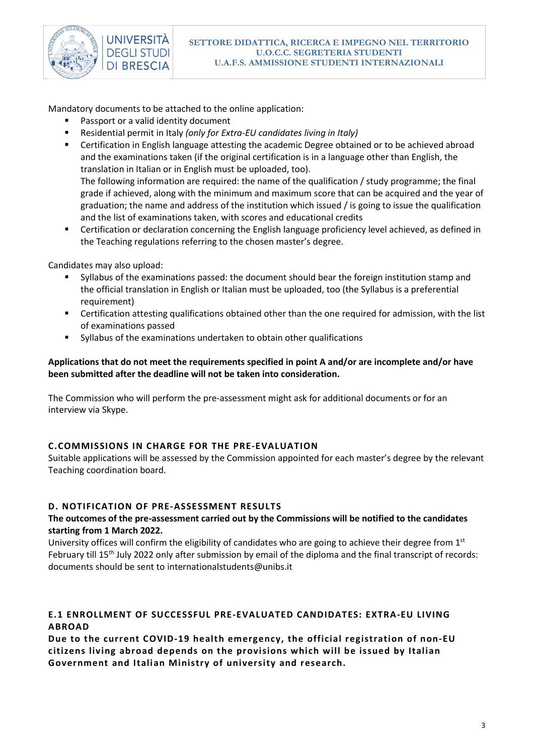

Mandatory documents to be attached to the online application:

- Passport or a valid identity document
- Residential permit in Italy (only for Extra-EU candidates living in Italy)
- Certification in English language attesting the academic Degree obtained or to be achieved abroad and the examinations taken (if the original certification is in a language other than English, the translation in Italian or in English must be uploaded, too). The following information are required: the name of the qualification / study programme; the final grade if achieved, along with the minimum and maximum score that can be acquired and the year of graduation; the name and address of the institution which issued / is going to issue the qualification and the list of examinations taken, with scores and educational credits
- Certification or declaration concerning the English language proficiency level achieved, as defined in the Teaching regulations referring to the chosen master's degree.

Candidates may also upload:

- Syllabus of the examinations passed: the document should bear the foreign institution stamp and the official translation in English or Italian must be uploaded, too (the Syllabus is a preferential requirement)
- Certification attesting qualifications obtained other than the one required for admission, with the list of examinations passed
- Syllabus of the examinations undertaken to obtain other qualifications

# Applications that do not meet the requirements specified in point A and/or are incomplete and/or have been submitted after the deadline will not be taken into consideration.

The Commission who will perform the pre-assessment might ask for additional documents or for an interview via Skype.

# C.COMMISSIONS IN CHARGE FOR THE PRE-EVALUATION

Suitable applications will be assessed by the Commission appointed for each master's degree by the relevant Teaching coordination board.

# D. NOTIFICATION OF PRE-ASSESSMENT RESULTS

# The outcomes of the pre-assessment carried out by the Commissions will be notified to the candidates starting from 1 March 2022.

University offices will confirm the eligibility of candidates who are going to achieve their degree from  $1<sup>st</sup>$ February till 15<sup>th</sup> July 2022 only after submission by email of the diploma and the final transcript of records: documents should be sent to internationalstudents@unibs.it

# E.1 ENROLLMENT OF SUCCESSFUL PRE-EVALUATED CANDIDATES: EXTRA-EU LIVING ABROAD

Due to the current COVID-19 health emergency, the official registration of non-EU citizens living abroad depends on the provisions which will be issued by Italian Government and Italian Ministry of university and research.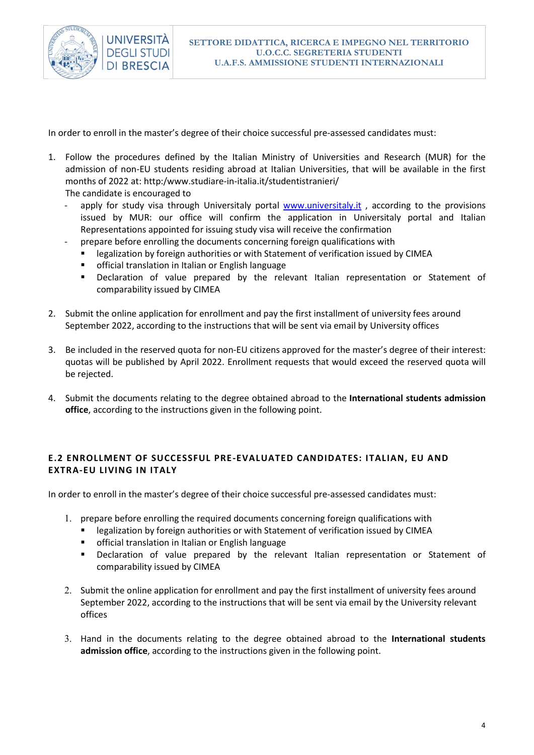

In order to enroll in the master's degree of their choice successful pre-assessed candidates must:

1. Follow the procedures defined by the Italian Ministry of Universities and Research (MUR) for the admission of non-EU students residing abroad at Italian Universities, that will be available in the first months of 2022 at: http:/www.studiare-in-italia.it/studentistranieri/

The candidate is encouraged to

- apply for study visa through Universitaly portal www.universitaly.it, according to the provisions issued by MUR: our office will confirm the application in Universitaly portal and Italian Representations appointed for issuing study visa will receive the confirmation
- prepare before enrolling the documents concerning foreign qualifications with
	- legalization by foreign authorities or with Statement of verification issued by CIMEA
	- **F** official translation in Italian or English language
	- Declaration of value prepared by the relevant Italian representation or Statement of comparability issued by CIMEA
- 2. Submit the online application for enrollment and pay the first installment of university fees around September 2022, according to the instructions that will be sent via email by University offices
- 3. Be included in the reserved quota for non-EU citizens approved for the master's degree of their interest: quotas will be published by April 2022. Enrollment requests that would exceed the reserved quota will be rejected.
- 4. Submit the documents relating to the degree obtained abroad to the International students admission office, according to the instructions given in the following point.

# E.2 ENROLLMENT OF SUCCESSFUL PRE-EVALUATED CANDIDATES: ITALIAN, EU AND EXTRA-EU LIVING IN ITALY

In order to enroll in the master's degree of their choice successful pre-assessed candidates must:

- 1. prepare before enrolling the required documents concerning foreign qualifications with
	- **EXECT** legalization by foreign authorities or with Statement of verification issued by CIMEA
	- official translation in Italian or English language
	- Declaration of value prepared by the relevant Italian representation or Statement of comparability issued by CIMEA
- 2. Submit the online application for enrollment and pay the first installment of university fees around September 2022, according to the instructions that will be sent via email by the University relevant offices
- 3. Hand in the documents relating to the degree obtained abroad to the International students admission office, according to the instructions given in the following point.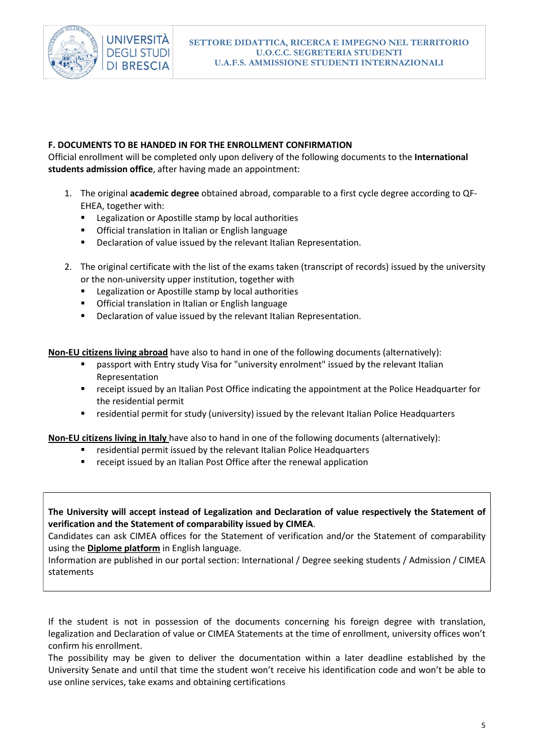

### F. DOCUMENTS TO BE HANDED IN FOR THE ENROLLMENT CONFIRMATION

Official enrollment will be completed only upon delivery of the following documents to the International students admission office, after having made an appointment:

- 1. The original academic degree obtained abroad, comparable to a first cycle degree according to QF-EHEA, together with:
	- **EXEC** Legalization or Apostille stamp by local authorities
	- Official translation in Italian or English language
	- **•** Declaration of value issued by the relevant Italian Representation.
- 2. The original certificate with the list of the exams taken (transcript of records) issued by the university or the non-university upper institution, together with
	- Legalization or Apostille stamp by local authorities
	- **•** Official translation in Italian or English language
	- **•** Declaration of value issued by the relevant Italian Representation.

Non-EU citizens living abroad have also to hand in one of the following documents (alternatively):

- passport with Entry study Visa for "university enrolment" issued by the relevant Italian Representation
- receipt issued by an Italian Post Office indicating the appointment at the Police Headquarter for the residential permit
- residential permit for study (university) issued by the relevant Italian Police Headquarters

Non-EU citizens living in Italy have also to hand in one of the following documents (alternatively):

- residential permit issued by the relevant Italian Police Headquarters
- receipt issued by an Italian Post Office after the renewal application

The University will accept instead of Legalization and Declaration of value respectively the Statement of verification and the Statement of comparability issued by CIMEA.

Candidates can ask CIMEA offices for the Statement of verification and/or the Statement of comparability using the Diplome platform in English language.

Information are published in our portal section: International / Degree seeking students / Admission / CIMEA statements

If the student is not in possession of the documents concerning his foreign degree with translation, legalization and Declaration of value or CIMEA Statements at the time of enrollment, university offices won't confirm his enrollment.

The possibility may be given to deliver the documentation within a later deadline established by the University Senate and until that time the student won't receive his identification code and won't be able to use online services, take exams and obtaining certifications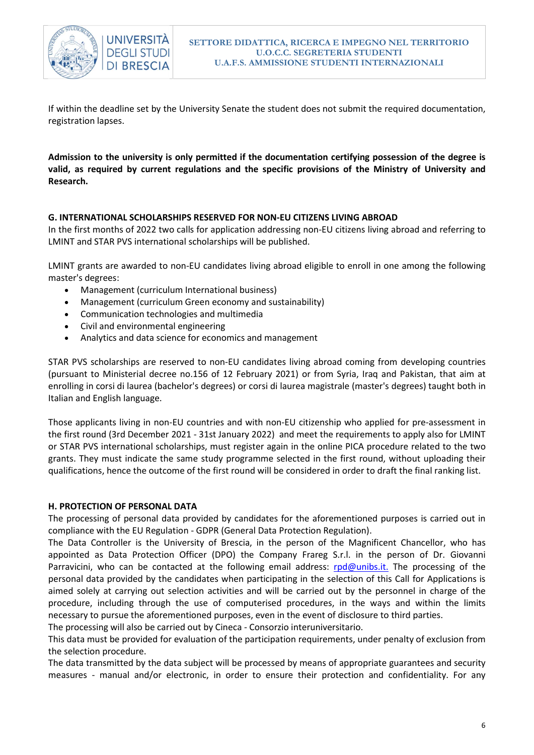

If within the deadline set by the University Senate the student does not submit the required documentation, registration lapses.

Admission to the university is only permitted if the documentation certifying possession of the degree is valid, as required by current regulations and the specific provisions of the Ministry of University and Research.

# G. INTERNATIONAL SCHOLARSHIPS RESERVED FOR NON-EU CITIZENS LIVING ABROAD

In the first months of 2022 two calls for application addressing non-EU citizens living abroad and referring to LMINT and STAR PVS international scholarships will be published.

LMINT grants are awarded to non-EU candidates living abroad eligible to enroll in one among the following master's degrees:

- Management (curriculum International business)
- Management (curriculum Green economy and sustainability)
- Communication technologies and multimedia
- Civil and environmental engineering
- Analytics and data science for economics and management

STAR PVS scholarships are reserved to non-EU candidates living abroad coming from developing countries (pursuant to Ministerial decree no.156 of 12 February 2021) or from Syria, Iraq and Pakistan, that aim at enrolling in corsi di laurea (bachelor's degrees) or corsi di laurea magistrale (master's degrees) taught both in Italian and English language.

Those applicants living in non-EU countries and with non-EU citizenship who applied for pre-assessment in the first round (3rd December 2021 - 31st January 2022) and meet the requirements to apply also for LMINT or STAR PVS international scholarships, must register again in the online PICA procedure related to the two grants. They must indicate the same study programme selected in the first round, without uploading their qualifications, hence the outcome of the first round will be considered in order to draft the final ranking list.

### H. PROTECTION OF PERSONAL DATA

The processing of personal data provided by candidates for the aforementioned purposes is carried out in compliance with the EU Regulation - GDPR (General Data Protection Regulation).

The Data Controller is the University of Brescia, in the person of the Magnificent Chancellor, who has appointed as Data Protection Officer (DPO) the Company Frareg S.r.l. in the person of Dr. Giovanni Parravicini, who can be contacted at the following email address: rpd@unibs.it. The processing of the personal data provided by the candidates when participating in the selection of this Call for Applications is aimed solely at carrying out selection activities and will be carried out by the personnel in charge of the procedure, including through the use of computerised procedures, in the ways and within the limits necessary to pursue the aforementioned purposes, even in the event of disclosure to third parties.

The processing will also be carried out by Cineca - Consorzio interuniversitario.

This data must be provided for evaluation of the participation requirements, under penalty of exclusion from the selection procedure.

The data transmitted by the data subject will be processed by means of appropriate guarantees and security measures - manual and/or electronic, in order to ensure their protection and confidentiality. For any